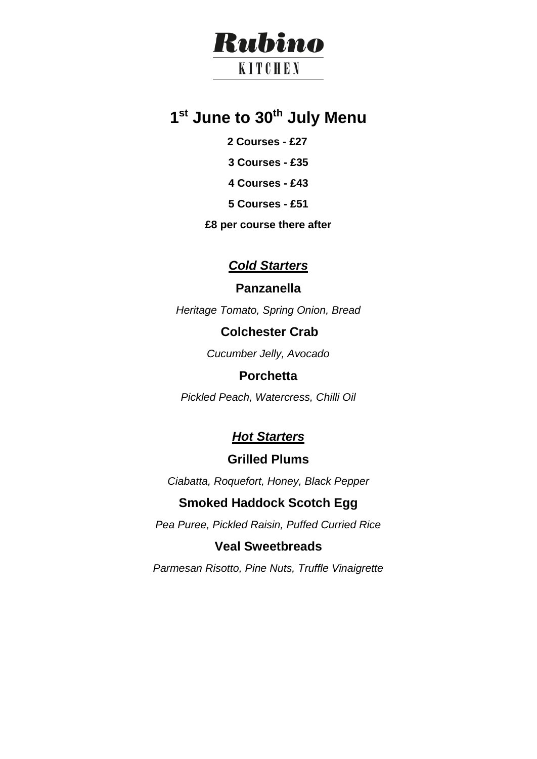# Rubino

# **KITCHEN**

# **1 st June to 30th July Menu**

- **2 Courses - £27**
- **3 Courses - £35**
- **4 Courses - £43**
- **5 Courses - £51**
- **£8 per course there after**

# *Cold Starters*

# **Panzanella**

*Heritage Tomato, Spring Onion, Bread*

# **Colchester Crab**

*Cucumber Jelly, Avocado* 

# **Porchetta**

*Pickled Peach, Watercress, Chilli Oil*

# *Hot Starters*

# **Grilled Plums**

*Ciabatta, Roquefort, Honey, Black Pepper*

# **Smoked Haddock Scotch Egg**

*Pea Puree, Pickled Raisin, Puffed Curried Rice*

# **Veal Sweetbreads**

*Parmesan Risotto, Pine Nuts, Truffle Vinaigrette*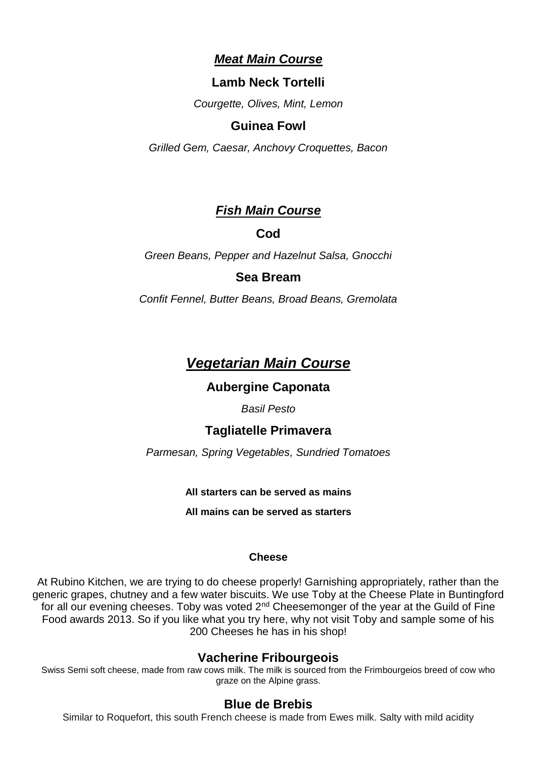### *Meat Main Course*

### **Lamb Neck Tortelli**

*Courgette, Olives, Mint, Lemon*

### **Guinea Fowl**

*Grilled Gem, Caesar, Anchovy Croquettes, Bacon* 

### *Fish Main Course*

### **Cod**

*Green Beans, Pepper and Hazelnut Salsa, Gnocchi* 

### **Sea Bream**

*Confit Fennel, Butter Beans, Broad Beans, Gremolata* 

# *Vegetarian Main Course*

### **Aubergine Caponata**

*Basil Pesto*

### **Tagliatelle Primavera**

*Parmesan, Spring Vegetables, Sundried Tomatoes*

#### **All starters can be served as mains**

**All mains can be served as starters**

#### **Cheese**

At Rubino Kitchen, we are trying to do cheese properly! Garnishing appropriately, rather than the generic grapes, chutney and a few water biscuits. We use Toby at the Cheese Plate in Buntingford for all our evening cheeses. Toby was voted  $2^{nd}$  Cheesemonger of the year at the Guild of Fine Food awards 2013. So if you like what you try here, why not visit Toby and sample some of his 200 Cheeses he has in his shop!

### **Vacherine Fribourgeois**

Swiss Semi soft cheese, made from raw cows milk. The milk is sourced from the Frimbourgeios breed of cow who graze on the Alpine grass.

### **Blue de Brebis**

Similar to Roquefort, this south French cheese is made from Ewes milk. Salty with mild acidity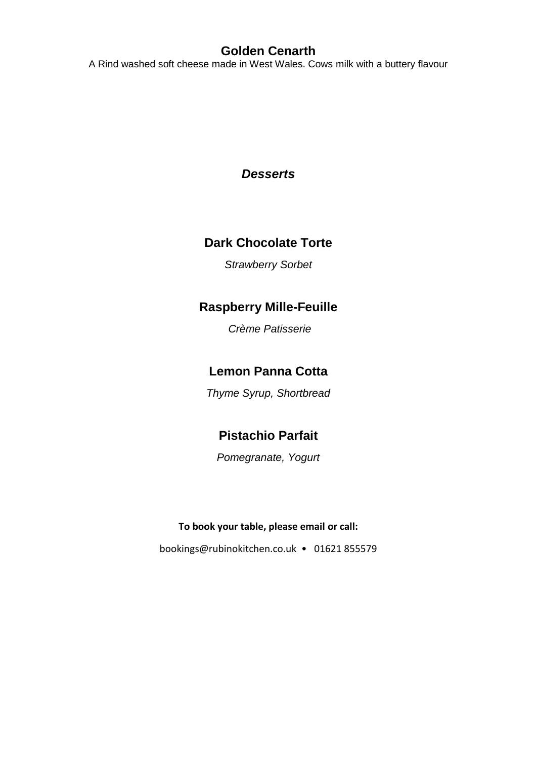## **Golden Cenarth**

A Rind washed soft cheese made in West Wales. Cows milk with a buttery flavour

### *Desserts*

## **Dark Chocolate Torte**

*Strawberry Sorbet*

### **Raspberry Mille-Feuille**

*Crème Patisserie* 

# **Lemon Panna Cotta**

*Thyme Syrup, Shortbread*

# **Pistachio Parfait**

*Pomegranate, Yogurt* 

#### **To book your table, please email or call:**

[bookings@rubinokitchen.co.uk](mailto:bookings@rubinokitchen.co.uk) • 01621 855579